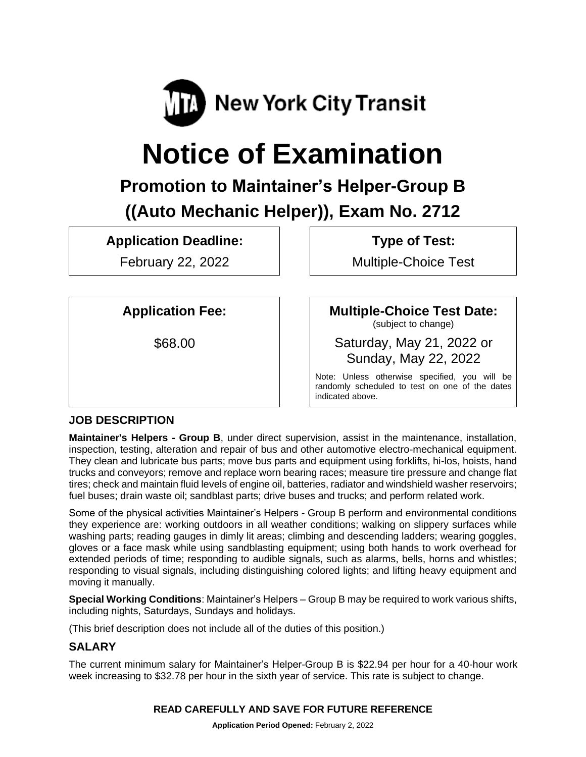

# **Notice of Examination**

# **Promotion to Maintainer's Helper-Group B ((Auto Mechanic Helper)), Exam No. 2712**

**Application Deadline:**

February 22, 2022

**Type of Test:** 

Multiple-Choice Test

**Application Fee:**

\$68.00

**Multiple-Choice Test Date:**

(subject to change)

Saturday, May 21, 2022 or Sunday, May 22, 2022

Note: Unless otherwise specified, you will be randomly scheduled to test on one of the dates indicated above.

## **JOB DESCRIPTION**

**Maintainer's Helpers - Group B**, under direct supervision, assist in the maintenance, installation, inspection, testing, alteration and repair of bus and other automotive electro-mechanical equipment. They clean and lubricate bus parts; move bus parts and equipment using forklifts, hi-los, hoists, hand trucks and conveyors; remove and replace worn bearing races; measure tire pressure and change flat tires; check and maintain fluid levels of engine oil, batteries, radiator and windshield washer reservoirs; fuel buses; drain waste oil; sandblast parts; drive buses and trucks; and perform related work.

Some of the physical activities Maintainer's Helpers - Group B perform and environmental conditions they experience are: working outdoors in all weather conditions; walking on slippery surfaces while washing parts; reading gauges in dimly lit areas; climbing and descending ladders; wearing goggles, gloves or a face mask while using sandblasting equipment; using both hands to work overhead for extended periods of time; responding to audible signals, such as alarms, bells, horns and whistles; responding to visual signals, including distinguishing colored lights; and lifting heavy equipment and moving it manually.

**Special Working Conditions**: Maintainer's Helpers – Group B may be required to work various shifts, including nights, Saturdays, Sundays and holidays.

(This brief description does not include all of the duties of this position.)

# **SALARY**

The current minimum salary for Maintainer's Helper-Group B is \$22.94 per hour for a 40-hour work week increasing to \$32.78 per hour in the sixth year of service. This rate is subject to change.

## **READ CAREFULLY AND SAVE FOR FUTURE REFERENCE**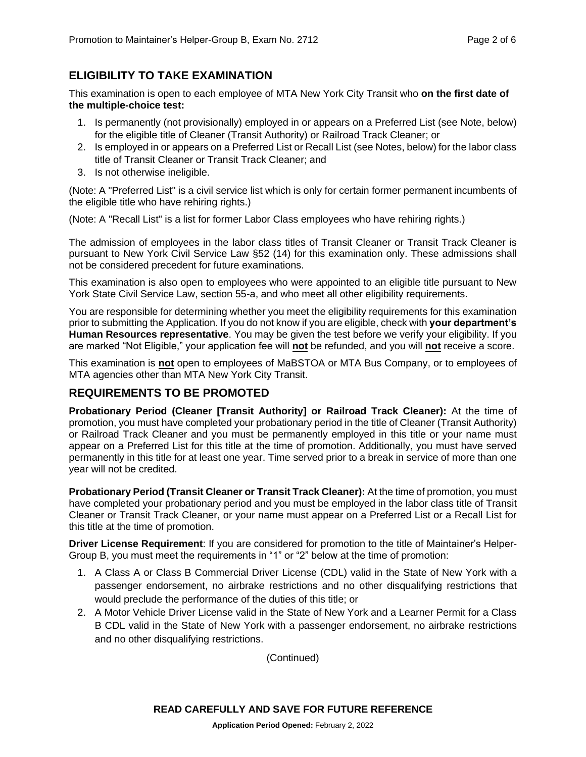#### **ELIGIBILITY TO TAKE EXAMINATION**

This examination is open to each employee of MTA New York City Transit who **on the first date of the multiple-choice test:**

- 1. Is permanently (not provisionally) employed in or appears on a Preferred List (see Note, below) for the eligible title of Cleaner (Transit Authority) or Railroad Track Cleaner; or
- 2. Is employed in or appears on a Preferred List or Recall List (see Notes, below) for the labor class title of Transit Cleaner or Transit Track Cleaner; and
- 3. Is not otherwise ineligible.

(Note: A "Preferred List" is a civil service list which is only for certain former permanent incumbents of the eligible title who have rehiring rights.)

(Note: A "Recall List" is a list for former Labor Class employees who have rehiring rights.)

The admission of employees in the labor class titles of Transit Cleaner or Transit Track Cleaner is pursuant to New York Civil Service Law §52 (14) for this examination only. These admissions shall not be considered precedent for future examinations.

This examination is also open to employees who were appointed to an eligible title pursuant to New York State Civil Service Law, section 55-a, and who meet all other eligibility requirements.

You are responsible for determining whether you meet the eligibility requirements for this examination prior to submitting the Application. If you do not know if you are eligible, check with **your department's Human Resources representative**. You may be given the test before we verify your eligibility. If you are marked "Not Eligible," your application fee will **not** be refunded, and you will **not** receive a score.

This examination is **not** open to employees of MaBSTOA or MTA Bus Company, or to employees of MTA agencies other than MTA New York City Transit.

#### **REQUIREMENTS TO BE PROMOTED**

**Probationary Period (Cleaner [Transit Authority] or Railroad Track Cleaner):** At the time of promotion, you must have completed your probationary period in the title of Cleaner (Transit Authority) or Railroad Track Cleaner and you must be permanently employed in this title or your name must appear on a Preferred List for this title at the time of promotion. Additionally, you must have served permanently in this title for at least one year. Time served prior to a break in service of more than one year will not be credited.

**Probationary Period (Transit Cleaner or Transit Track Cleaner):** At the time of promotion, you must have completed your probationary period and you must be employed in the labor class title of Transit Cleaner or Transit Track Cleaner, or your name must appear on a Preferred List or a Recall List for this title at the time of promotion.

**Driver License Requirement**: If you are considered for promotion to the title of Maintainer's Helper-Group B, you must meet the requirements in "1" or "2" below at the time of promotion:

- 1. A Class A or Class B Commercial Driver License (CDL) valid in the State of New York with a passenger endorsement, no airbrake restrictions and no other disqualifying restrictions that would preclude the performance of the duties of this title; or
- 2. A Motor Vehicle Driver License valid in the State of New York and a Learner Permit for a Class B CDL valid in the State of New York with a passenger endorsement, no airbrake restrictions and no other disqualifying restrictions.

(Continued)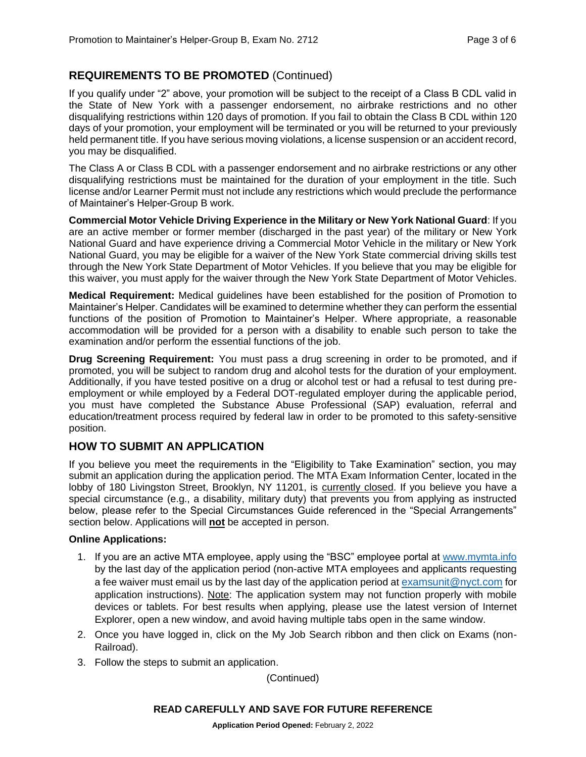#### **REQUIREMENTS TO BE PROMOTED** (Continued)

If you qualify under "2" above, your promotion will be subject to the receipt of a Class B CDL valid in the State of New York with a passenger endorsement, no airbrake restrictions and no other disqualifying restrictions within 120 days of promotion. If you fail to obtain the Class B CDL within 120 days of your promotion, your employment will be terminated or you will be returned to your previously held permanent title. If you have serious moving violations, a license suspension or an accident record, you may be disqualified.

The Class A or Class B CDL with a passenger endorsement and no airbrake restrictions or any other disqualifying restrictions must be maintained for the duration of your employment in the title. Such license and/or Learner Permit must not include any restrictions which would preclude the performance of Maintainer's Helper-Group B work.

**Commercial Motor Vehicle Driving Experience in the Military or New York National Guard**: If you are an active member or former member (discharged in the past year) of the military or New York National Guard and have experience driving a Commercial Motor Vehicle in the military or New York National Guard, you may be eligible for a waiver of the New York State commercial driving skills test through the New York State Department of Motor Vehicles. If you believe that you may be eligible for this waiver, you must apply for the waiver through the New York State Department of Motor Vehicles.

**Medical Requirement:** Medical guidelines have been established for the position of Promotion to Maintainer's Helper. Candidates will be examined to determine whether they can perform the essential functions of the position of Promotion to Maintainer's Helper. Where appropriate, a reasonable accommodation will be provided for a person with a disability to enable such person to take the examination and/or perform the essential functions of the job.

**Drug Screening Requirement:** You must pass a drug screening in order to be promoted, and if promoted, you will be subject to random drug and alcohol tests for the duration of your employment. Additionally, if you have tested positive on a drug or alcohol test or had a refusal to test during preemployment or while employed by a Federal DOT-regulated employer during the applicable period, you must have completed the Substance Abuse Professional (SAP) evaluation, referral and education/treatment process required by federal law in order to be promoted to this safety-sensitive position.

#### **HOW TO SUBMIT AN APPLICATION**

If you believe you meet the requirements in the "Eligibility to Take Examination" section, you may submit an application during the application period. The MTA Exam Information Center, located in the lobby of 180 Livingston Street, Brooklyn, NY 11201, is currently closed. If you believe you have a special circumstance (e.g., a disability, military duty) that prevents you from applying as instructed below, please refer to the Special Circumstances Guide referenced in the "Special Arrangements" section below. Applications will **not** be accepted in person.

#### **Online Applications:**

- 1. If you are an active MTA employee, apply using the "BSC" employee portal at [www.mymta.info](http://www.mymta.info/) by the last day of the application period (non-active MTA employees and applicants requesting a fee waiver must email us by the last day of the application period at [examsunit@nyct.com](mailto:examsunit@nyct.com) for application instructions). Note: The application system may not function properly with mobile devices or tablets. For best results when applying, please use the latest version of Internet Explorer, open a new window, and avoid having multiple tabs open in the same window.
- 2. Once you have logged in, click on the My Job Search ribbon and then click on Exams (non-Railroad).
- 3. Follow the steps to submit an application.

(Continued)

#### **READ CAREFULLY AND SAVE FOR FUTURE REFERENCE**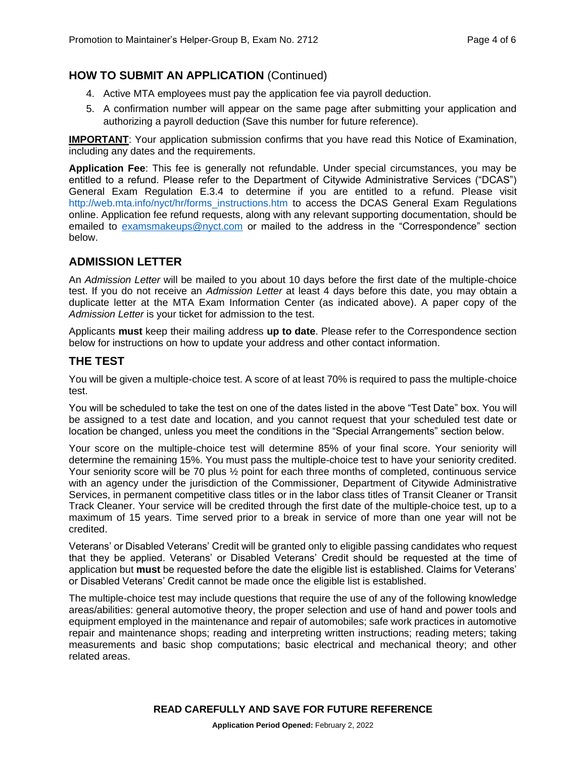#### **HOW TO SUBMIT AN APPLICATION** (Continued)

- 4. Active MTA employees must pay the application fee via payroll deduction.
- 5. A confirmation number will appear on the same page after submitting your application and authorizing a payroll deduction (Save this number for future reference).

**IMPORTANT:** Your application submission confirms that you have read this Notice of Examination, including any dates and the requirements.

**Application Fee**: This fee is generally not refundable. Under special circumstances, you may be entitled to a refund. Please refer to the Department of Citywide Administrative Services ("DCAS") General Exam Regulation E.3.4 to determine if you are entitled to a refund. Please visit [http://web.mta.info/nyct/hr/forms\\_instructions.htm](http://web.mta.info/nyct/hr/forms_instructions.htm) to access the DCAS General Exam Regulations online. Application fee refund requests, along with any relevant supporting documentation, should be emailed to [examsmakeups@nyct.com](mailto:examsmakeups@nyct.com) or mailed to the address in the "Correspondence" section below.

#### **ADMISSION LETTER**

An *Admission Letter* will be mailed to you about 10 days before the first date of the multiple-choice test. If you do not receive an *Admission Letter* at least 4 days before this date, you may obtain a duplicate letter at the MTA Exam Information Center (as indicated above). A paper copy of the *Admission Letter* is your ticket for admission to the test.

Applicants **must** keep their mailing address **up to date**. Please refer to the Correspondence section below for instructions on how to update your address and other contact information.

#### **THE TEST**

You will be given a multiple-choice test. A score of at least 70% is required to pass the multiple-choice test.

You will be scheduled to take the test on one of the dates listed in the above "Test Date" box. You will be assigned to a test date and location, and you cannot request that your scheduled test date or location be changed, unless you meet the conditions in the "Special Arrangements" section below.

Your score on the multiple-choice test will determine 85% of your final score. Your seniority will determine the remaining 15%. You must pass the multiple-choice test to have your seniority credited. Your seniority score will be 70 plus ½ point for each three months of completed, continuous service with an agency under the jurisdiction of the Commissioner, Department of Citywide Administrative Services, in permanent competitive class titles or in the labor class titles of Transit Cleaner or Transit Track Cleaner. Your service will be credited through the first date of the multiple-choice test, up to a maximum of 15 years. Time served prior to a break in service of more than one year will not be credited.

Veterans' or Disabled Veterans' Credit will be granted only to eligible passing candidates who request that they be applied. Veterans' or Disabled Veterans' Credit should be requested at the time of application but **must** be requested before the date the eligible list is established. Claims for Veterans' or Disabled Veterans' Credit cannot be made once the eligible list is established.

The multiple-choice test may include questions that require the use of any of the following knowledge areas/abilities: general automotive theory, the proper selection and use of hand and power tools and equipment employed in the maintenance and repair of automobiles; safe work practices in automotive repair and maintenance shops; reading and interpreting written instructions; reading meters; taking measurements and basic shop computations; basic electrical and mechanical theory; and other related areas.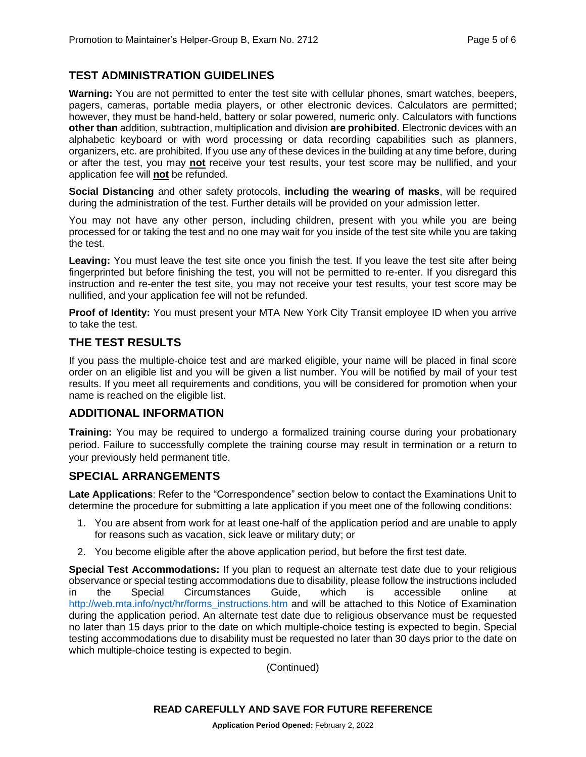#### **TEST ADMINISTRATION GUIDELINES**

**Warning:** You are not permitted to enter the test site with cellular phones, smart watches, beepers, pagers, cameras, portable media players, or other electronic devices. Calculators are permitted; however, they must be hand-held, battery or solar powered, numeric only. Calculators with functions **other than** addition, subtraction, multiplication and division **are prohibited**. Electronic devices with an alphabetic keyboard or with word processing or data recording capabilities such as planners, organizers, etc. are prohibited. If you use any of these devices in the building at any time before, during or after the test, you may **not** receive your test results, your test score may be nullified, and your application fee will **not** be refunded.

**Social Distancing** and other safety protocols, **including the wearing of masks**, will be required during the administration of the test. Further details will be provided on your admission letter.

You may not have any other person, including children, present with you while you are being processed for or taking the test and no one may wait for you inside of the test site while you are taking the test.

**Leaving:** You must leave the test site once you finish the test. If you leave the test site after being fingerprinted but before finishing the test, you will not be permitted to re-enter. If you disregard this instruction and re-enter the test site, you may not receive your test results, your test score may be nullified, and your application fee will not be refunded.

**Proof of Identity:** You must present your MTA New York City Transit employee ID when you arrive to take the test.

#### **THE TEST RESULTS**

If you pass the multiple-choice test and are marked eligible, your name will be placed in final score order on an eligible list and you will be given a list number. You will be notified by mail of your test results. If you meet all requirements and conditions, you will be considered for promotion when your name is reached on the eligible list.

#### **ADDITIONAL INFORMATION**

**Training:** You may be required to undergo a formalized training course during your probationary period. Failure to successfully complete the training course may result in termination or a return to your previously held permanent title.

#### **SPECIAL ARRANGEMENTS**

**Late Applications**: Refer to the "Correspondence" section below to contact the Examinations Unit to determine the procedure for submitting a late application if you meet one of the following conditions:

- 1. You are absent from work for at least one-half of the application period and are unable to apply for reasons such as vacation, sick leave or military duty; or
- 2. You become eligible after the above application period, but before the first test date.

**Special Test Accommodations:** If you plan to request an alternate test date due to your religious observance or special testing accommodations due to disability, please follow the instructions included in the Special Circumstances Guide, which is accessible online at [http://web.mta.info/nyct/hr/forms\\_instructions.htm](http://web.mta.info/nyct/hr/forms_instructions.htm) and will be attached to this Notice of Examination during the application period. An alternate test date due to religious observance must be requested no later than 15 days prior to the date on which multiple-choice testing is expected to begin. Special testing accommodations due to disability must be requested no later than 30 days prior to the date on which multiple-choice testing is expected to begin.

(Continued)